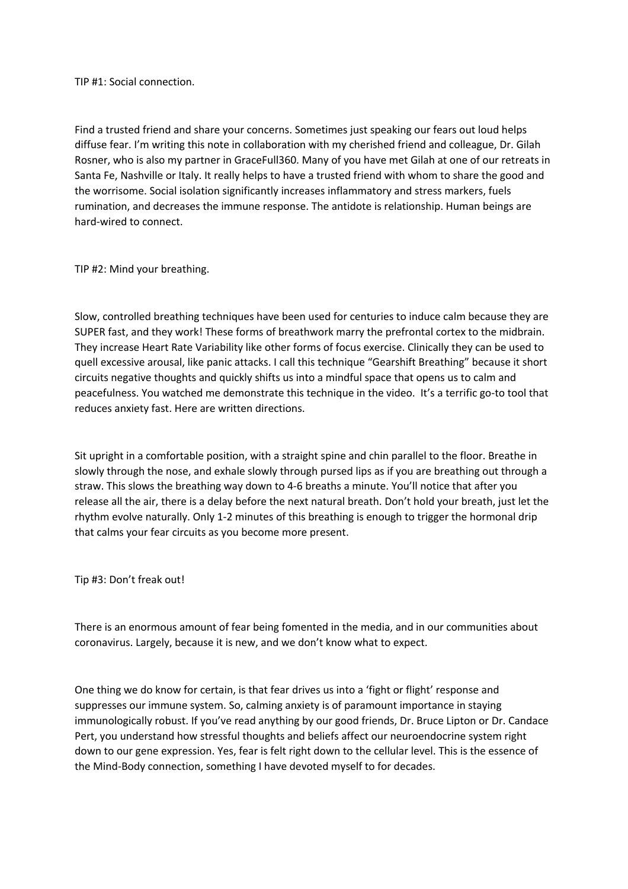TIP #1: Social connection.

Find a trusted friend and share your concerns. Sometimes just speaking our fears out loud helps diffuse fear. I'm writing this note in collaboration with my cherished friend and colleague, Dr. Gilah Rosner, who is also my partner in GraceFull360. Many of you have met Gilah at one of our retreats in Santa Fe, Nashville or Italy. It really helps to have a trusted friend with whom to share the good and the worrisome. Social isolation significantly increases inflammatory and stress markers, fuels rumination, and decreases the immune response. The antidote is relationship. Human beings are hard-wired to connect.

TIP #2: Mind your breathing.

Slow, controlled breathing techniques have been used for centuries to induce calm because they are SUPER fast, and they work! These forms of breathwork marry the prefrontal cortex to the midbrain. They increase Heart Rate Variability like other forms of focus exercise. Clinically they can be used to quell excessive arousal, like panic attacks. I call this technique "Gearshift Breathing" because it short circuits negative thoughts and quickly shifts us into a mindful space that opens us to calm and peacefulness. You watched me demonstrate this technique in the video. It's a terrific go-to tool that reduces anxiety fast. Here are written directions.

Sit upright in a comfortable position, with a straight spine and chin parallel to the floor. Breathe in slowly through the nose, and exhale slowly through pursed lips as if you are breathing out through a straw. This slows the breathing way down to 4-6 breaths a minute. You'll notice that after you release all the air, there is a delay before the next natural breath. Don't hold your breath, just let the rhythm evolve naturally. Only 1-2 minutes of this breathing is enough to trigger the hormonal drip that calms your fear circuits as you become more present.

Tip #3: Don't freak out!

There is an enormous amount of fear being fomented in the media, and in our communities about coronavirus. Largely, because it is new, and we don't know what to expect.

One thing we do know for certain, is that fear drives us into a 'fight or flight' response and suppresses our immune system. So, calming anxiety is of paramount importance in staying immunologically robust. If you've read anything by our good friends, Dr. Bruce Lipton or Dr. Candace Pert, you understand how stressful thoughts and beliefs affect our neuroendocrine system right down to our gene expression. Yes, fear is felt right down to the cellular level. This is the essence of the Mind-Body connection, something I have devoted myself to for decades.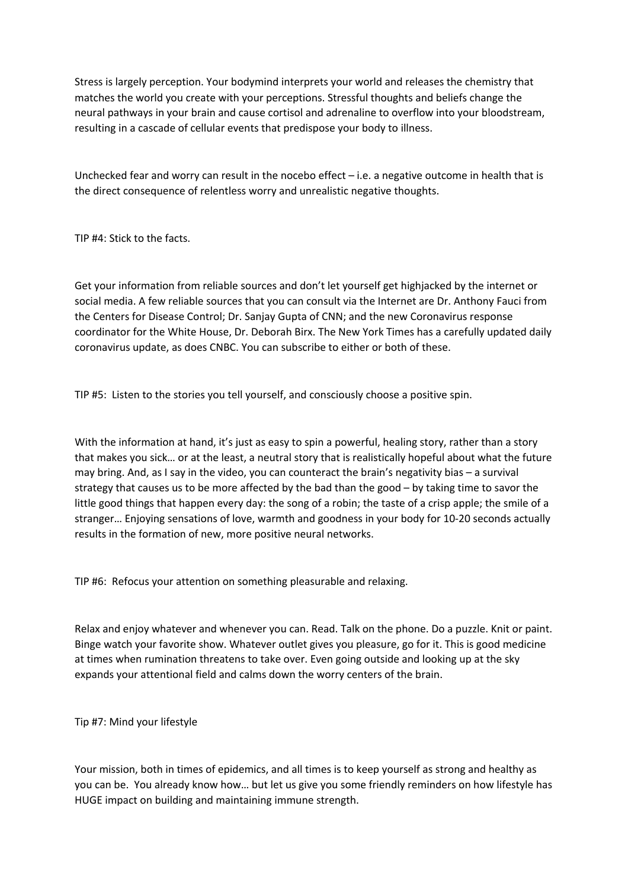Stress is largely perception. Your bodymind interprets your world and releases the chemistry that matches the world you create with your perceptions. Stressful thoughts and beliefs change the neural pathways in your brain and cause cortisol and adrenaline to overflow into your bloodstream, resulting in a cascade of cellular events that predispose your body to illness.

Unchecked fear and worry can result in the nocebo effect – i.e. a negative outcome in health that is the direct consequence of relentless worry and unrealistic negative thoughts.

TIP #4: Stick to the facts.

Get your information from reliable sources and don't let yourself get highjacked by the internet or social media. A few reliable sources that you can consult via the Internet are Dr. Anthony Fauci from the Centers for Disease Control; Dr. Sanjay Gupta of CNN; and the new Coronavirus response coordinator for the White House, Dr. Deborah Birx. The New York Times has a carefully updated daily coronavirus update, as does CNBC. You can subscribe to either or both of these.

TIP #5: Listen to the stories you tell yourself, and consciously choose a positive spin.

With the information at hand, it's just as easy to spin a powerful, healing story, rather than a story that makes you sick… or at the least, a neutral story that is realistically hopeful about what the future may bring. And, as I say in the video, you can counteract the brain's negativity bias – a survival strategy that causes us to be more affected by the bad than the good – by taking time to savor the little good things that happen every day: the song of a robin; the taste of a crisp apple; the smile of a stranger… Enjoying sensations of love, warmth and goodness in your body for 10-20 seconds actually results in the formation of new, more positive neural networks.

TIP #6: Refocus your attention on something pleasurable and relaxing.

Relax and enjoy whatever and whenever you can. Read. Talk on the phone. Do a puzzle. Knit or paint. Binge watch your favorite show. Whatever outlet gives you pleasure, go for it. This is good medicine at times when rumination threatens to take over. Even going outside and looking up at the sky expands your attentional field and calms down the worry centers of the brain.

Tip #7: Mind your lifestyle

Your mission, both in times of epidemics, and all times is to keep yourself as strong and healthy as you can be. You already know how… but let us give you some friendly reminders on how lifestyle has HUGE impact on building and maintaining immune strength.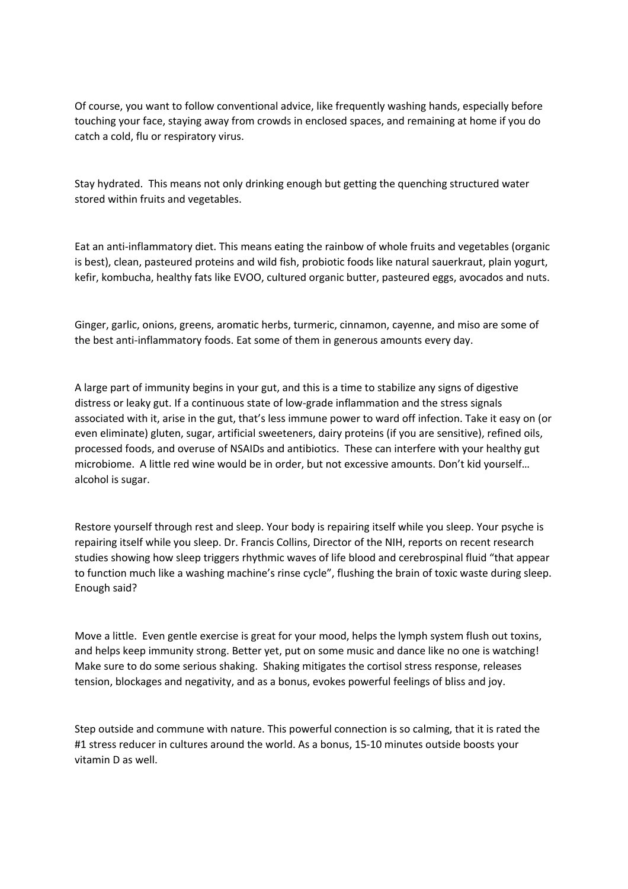Of course, you want to follow conventional advice, like frequently washing hands, especially before touching your face, staying away from crowds in enclosed spaces, and remaining at home if you do catch a cold, flu or respiratory virus.

Stay hydrated. This means not only drinking enough but getting the quenching structured water stored within fruits and vegetables.

Eat an anti-inflammatory diet. This means eating the rainbow of whole fruits and vegetables (organic is best), clean, pasteured proteins and wild fish, probiotic foods like natural sauerkraut, plain yogurt, kefir, kombucha, healthy fats like EVOO, cultured organic butter, pasteured eggs, avocados and nuts.

Ginger, garlic, onions, greens, aromatic herbs, turmeric, cinnamon, cayenne, and miso are some of the best anti-inflammatory foods. Eat some of them in generous amounts every day.

A large part of immunity begins in your gut, and this is a time to stabilize any signs of digestive distress or leaky gut. If a continuous state of low-grade inflammation and the stress signals associated with it, arise in the gut, that's less immune power to ward off infection. Take it easy on (or even eliminate) gluten, sugar, artificial sweeteners, dairy proteins (if you are sensitive), refined oils, processed foods, and overuse of NSAIDs and antibiotics. These can interfere with your healthy gut microbiome. A little red wine would be in order, but not excessive amounts. Don't kid yourself… alcohol is sugar.

Restore yourself through rest and sleep. Your body is repairing itself while you sleep. Your psyche is repairing itself while you sleep. Dr. Francis Collins, Director of the NIH, reports on recent research studies showing how sleep triggers rhythmic waves of life blood and cerebrospinal fluid "that appear to function much like a washing machine's rinse cycle", flushing the brain of toxic waste during sleep. Enough said?

Move a little. Even gentle exercise is great for your mood, helps the lymph system flush out toxins, and helps keep immunity strong. Better yet, put on some music and dance like no one is watching! Make sure to do some serious shaking. Shaking mitigates the cortisol stress response, releases tension, blockages and negativity, and as a bonus, evokes powerful feelings of bliss and joy.

Step outside and commune with nature. This powerful connection is so calming, that it is rated the #1 stress reducer in cultures around the world. As a bonus, 15-10 minutes outside boosts your vitamin D as well.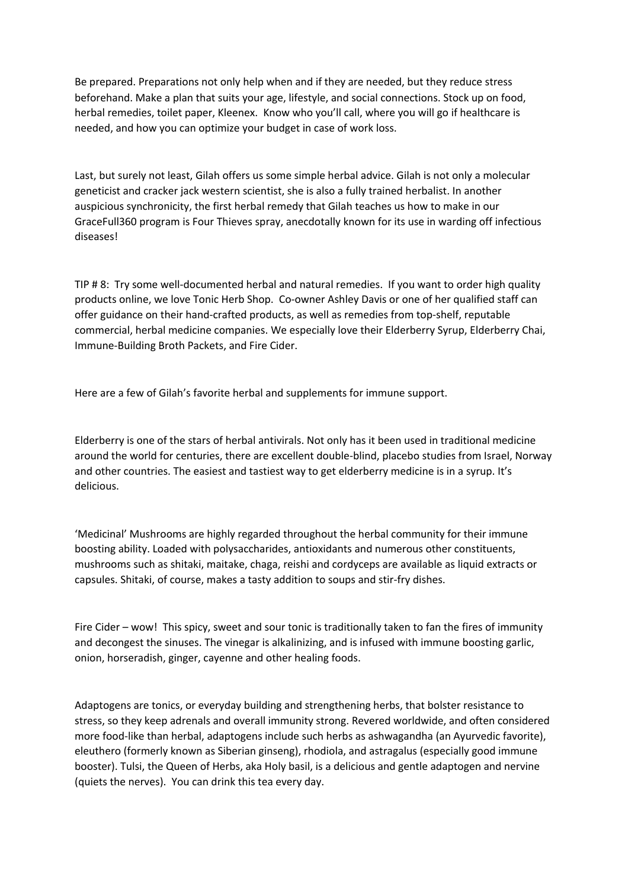Be prepared. Preparations not only help when and if they are needed, but they reduce stress beforehand. Make a plan that suits your age, lifestyle, and social connections. Stock up on food, herbal remedies, toilet paper, Kleenex. Know who you'll call, where you will go if healthcare is needed, and how you can optimize your budget in case of work loss.

Last, but surely not least, Gilah offers us some simple herbal advice. Gilah is not only a molecular geneticist and cracker jack western scientist, she is also a fully trained herbalist. In another auspicious synchronicity, the first herbal remedy that Gilah teaches us how to make in our GraceFull360 program is Four Thieves spray, anecdotally known for its use in warding off infectious diseases!

TIP # 8: Try some well-documented herbal and natural remedies. If you want to order high quality products online, we love Tonic Herb Shop. Co-owner Ashley Davis or one of her qualified staff can offer guidance on their hand-crafted products, as well as remedies from top-shelf, reputable commercial, herbal medicine companies. We especially love their Elderberry Syrup, Elderberry Chai, Immune-Building Broth Packets, and Fire Cider.

Here are a few of Gilah's favorite herbal and supplements for immune support.

Elderberry is one of the stars of herbal antivirals. Not only has it been used in traditional medicine around the world for centuries, there are excellent double-blind, placebo studies from Israel, Norway and other countries. The easiest and tastiest way to get elderberry medicine is in a syrup. It's delicious.

'Medicinal' Mushrooms are highly regarded throughout the herbal community for their immune boosting ability. Loaded with polysaccharides, antioxidants and numerous other constituents, mushrooms such as shitaki, maitake, chaga, reishi and cordyceps are available as liquid extracts or capsules. Shitaki, of course, makes a tasty addition to soups and stir-fry dishes.

Fire Cider – wow! This spicy, sweet and sour tonic is traditionally taken to fan the fires of immunity and decongest the sinuses. The vinegar is alkalinizing, and is infused with immune boosting garlic, onion, horseradish, ginger, cayenne and other healing foods.

Adaptogens are tonics, or everyday building and strengthening herbs, that bolster resistance to stress, so they keep adrenals and overall immunity strong. Revered worldwide, and often considered more food-like than herbal, adaptogens include such herbs as ashwagandha (an Ayurvedic favorite), eleuthero (formerly known as Siberian ginseng), rhodiola, and astragalus (especially good immune booster). Tulsi, the Queen of Herbs, aka Holy basil, is a delicious and gentle adaptogen and nervine (quiets the nerves). You can drink this tea every day.